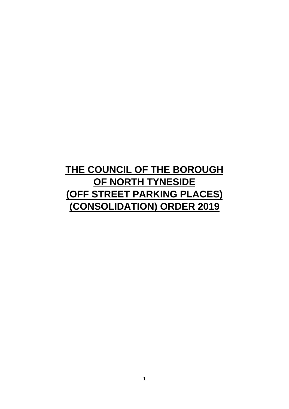# **THE COUNCIL OF THE BOROUGH OF NORTH TYNESIDE (OFF STREET PARKING PLACES) (CONSOLIDATION) ORDER 2019**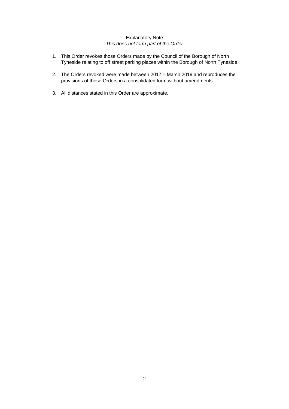### **Explanatory Note** *This does not form part of the Order*

- 1. This Order revokes those Orders made by the Council of the Borough of North Tyneside relating to off street parking places within the Borough of North Tyneside.
- 2. The Orders revoked were made between 2017 March 2019 and reproduces the provisions of those Orders in a consolidated form without amendments.
- 3. All distances stated in this Order are approximate.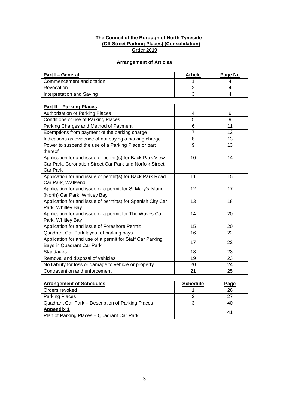# **The Council of the Borough of North Tyneside (Off Street Parking Places) (Consolidation) Order 2019**

# **Arrangement of Articles**

| Part I - General                                            | <b>Article</b> | Page No |
|-------------------------------------------------------------|----------------|---------|
| Commencement and citation                                   | 1              | 4       |
| Revocation                                                  | $\overline{2}$ | 4       |
| Interpretation and Saving                                   | 3              | 4       |
|                                                             |                |         |
| <b>Part II - Parking Places</b>                             |                |         |
| <b>Authorisation of Parking Places</b>                      | 4              | 9       |
| Conditions of use of Parking Places                         | $\overline{5}$ | 9       |
| Parking Charges and Method of Payment                       | 6              | 11      |
| Exemptions from payment of the parking charge               | $\overline{7}$ | 12      |
| Indications as evidence of not paying a parking charge      | 8              | 13      |
| Power to suspend the use of a Parking Place or part         | 9              | 13      |
| thereof                                                     |                |         |
| Application for and issue of permit(s) for Back Park View   | 10             | 14      |
| Car Park, Coronation Street Car Park and Norfolk Street     |                |         |
| Car Park                                                    |                |         |
| Application for and issue of permit(s) for Back Park Road   | 11             | 15      |
| Car Park, Wallsend                                          |                |         |
| Application for and issue of a permit for St Mary's Island  | 12             | 17      |
| (North) Car Park, Whitley Bay                               |                |         |
| Application for and issue of permit(s) for Spanish City Car | 13             | 18      |
| Park, Whitley Bay                                           |                |         |
| Application for and issue of a permit for The Waves Car     | 14             | 20      |
| Park, Whitley Bay                                           |                |         |
| Application for and issue of Foreshore Permit               | 15             | 20      |
| Quadrant Car Park layout of parking bays                    | 16             | 22      |
| Application for and use of a permit for Staff Car Parking   | 17             | 22      |
| Bays in Quadrant Car Park                                   |                |         |
| Standages                                                   | 18             | 23      |
| Removal and disposal of vehicles                            | 19             | 23      |
| No liability for loss or damage to vehicle or property      | 20             | 24      |
| Contravention and enforcement                               | 21             | 25      |

| <b>Arrangement of Schedules</b>                   | <b>Schedule</b> | <u>Page</u> |
|---------------------------------------------------|-----------------|-------------|
| Orders revoked                                    |                 | 26          |
| <b>Parking Places</b>                             |                 | 27          |
| Quadrant Car Park – Description of Parking Places |                 | 40          |
| <b>Appendix 1</b>                                 |                 | 41          |
| Plan of Parking Places - Quadrant Car Park        |                 |             |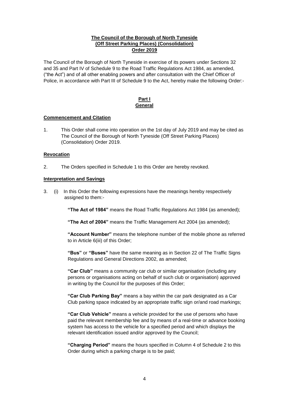## **The Council of the Borough of North Tyneside (Off Street Parking Places) (Consolidation) Order 2019**

The Council of the Borough of North Tyneside in exercise of its powers under Sections 32 and 35 and Part IV of Schedule 9 to the Road Traffic Regulations Act 1984, as amended, ("the Act") and of all other enabling powers and after consultation with the Chief Officer of Police, in accordance with Part III of Schedule 9 to the Act, hereby make the following Order:-

#### **Part I General**

#### **Commencement and Citation**

1. This Order shall come into operation on the 1st day of July 2019 and may be cited as The Council of the Borough of North Tyneside (Off Street Parking Places) (Consolidation) Order 2019.

#### **Revocation**

2. The Orders specified in Schedule 1 to this Order are hereby revoked.

#### **Interpretation and Savings**

3. (i) In this Order the following expressions have the meanings hereby respectively assigned to them:-

**"The Act of 1984"** means the Road Traffic Regulations Act 1984 (as amended);

**"The Act of 2004"** means the Traffic Management Act 2004 (as amended);

**"Account Number"** means the telephone number of the mobile phone as referred to in Article 6(iii) of this Order;

**"Bus"** or **"Buses"** have the same meaning as in Section 22 of The Traffic Signs Regulations and General Directions 2002, as amended;

**"Car Club"** means a community car club or similar organisation (including any persons or organisations acting on behalf of such club or organisation) approved in writing by the Council for the purposes of this Order;

**"Car Club Parking Bay"** means a bay within the car park designated as a Car Club parking space indicated by an appropriate traffic sign or/and road markings;

**"Car Club Vehicle"** means a vehicle provided for the use of persons who have paid the relevant membership fee and by means of a real-time or advance booking system has access to the vehicle for a specified period and which displays the relevant identification issued and/or approved by the Council;

**"Charging Period"** means the hours specified in Column 4 of Schedule 2 to this Order during which a parking charge is to be paid;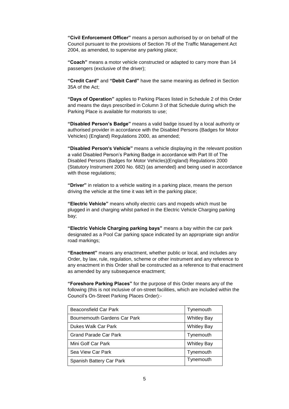**"Civil Enforcement Officer"** means a person authorised by or on behalf of the Council pursuant to the provisions of Section 76 of the Traffic Management Act 2004, as amended, to supervise any parking place;

**"Coach"** means a motor vehicle constructed or adapted to carry more than 14 passengers (exclusive of the driver);

**"Credit Card"** and **"Debit Card"** have the same meaning as defined in Section 35A of the Act;

**"Days of Operation"** applies to Parking Places listed in Schedule 2 of this Order and means the days prescribed in Column 3 of that Schedule during which the Parking Place is available for motorists to use;

**"Disabled Person's Badge"** means a valid badge issued by a local authority or authorised provider in accordance with the Disabled Persons (Badges for Motor Vehicles) (England) Regulations 2000, as amended;

**"Disabled Person's Vehicle"** means a vehicle displaying in the relevant position a valid Disabled Person's Parking Badge in accordance with Part III of The Disabled Persons (Badges for Motor Vehicles)(England) Regulations 2000 (Statutory Instrument 2000 No. 682) (as amended) and being used in accordance with those regulations;

**"Driver"** in relation to a vehicle waiting in a parking place, means the person driving the vehicle at the time it was left in the parking place;

**"Electric Vehicle"** means wholly electric cars and mopeds which must be plugged in and charging whilst parked in the Electric Vehicle Charging parking bay;

**"Electric Vehicle Charging parking bays"** means a bay within the car park designated as a Pool Car parking space indicated by an appropriate sign and/or road markings;

**"Enactment"** means any enactment, whether public or local, and includes any Order, by law, rule, regulation, scheme or other instrument and any reference to any enactment in this Order shall be constructed as a reference to that enactment as amended by any subsequence enactment;

**"Foreshore Parking Places"** for the purpose of this Order means any of the following (this is not inclusive of on-street facilities, which are included within the Council's On-Street Parking Places Order):-

| Beaconsfield Car Park        | Tynemouth          |
|------------------------------|--------------------|
| Bournemouth Gardens Car Park | <b>Whitley Bay</b> |
| Dukes Walk Car Park          | <b>Whitley Bay</b> |
| Grand Parade Car Park        | Tynemouth          |
| Mini Golf Car Park           | <b>Whitley Bay</b> |
| Sea View Car Park            | Tynemouth          |
| Spanish Battery Car Park     | Tynemouth          |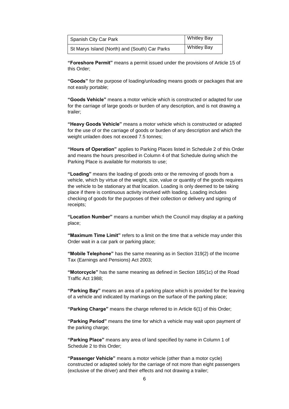| Spanish City Car Park                         | <b>Whitley Bay</b> |
|-----------------------------------------------|--------------------|
| St Marys Island (North) and (South) Car Parks | <b>Whitley Bay</b> |

**"Foreshore Permit"** means a permit issued under the provisions of Article 15 of this Order;

**"Goods"** for the purpose of loading/unloading means goods or packages that are not easily portable;

**"Goods Vehicle"** means a motor vehicle which is constructed or adapted for use for the carriage of large goods or burden of any description, and is not drawing a trailer;

**"Heavy Goods Vehicle"** means a motor vehicle which is constructed or adapted for the use of or the carriage of goods or burden of any description and which the weight unladen does not exceed 7.5 tonnes;

**"Hours of Operation"** applies to Parking Places listed in Schedule 2 of this Order and means the hours prescribed in Column 4 of that Schedule during which the Parking Place is available for motorists to use;

**"Loading"** means the loading of goods onto or the removing of goods from a vehicle, which by virtue of the weight, size, value or quantity of the goods requires the vehicle to be stationary at that location. Loading is only deemed to be taking place if there is continuous activity involved with loading. Loading includes checking of goods for the purposes of their collection or delivery and signing of receipts;

**"Location Number"** means a number which the Council may display at a parking place;

**"Maximum Time Limit"** refers to a limit on the time that a vehicle may under this Order wait in a car park or parking place;

**"Mobile Telephone"** has the same meaning as in Section 319(2) of the Income Tax (Earnings and Pensions) Act 2003;

**"Motorcycle"** has the same meaning as defined in Section 185(1c) of the Road Traffic Act 1988;

**"Parking Bay"** means an area of a parking place which is provided for the leaving of a vehicle and indicated by markings on the surface of the parking place;

**"Parking Charge"** means the charge referred to in Article 6(1) of this Order;

**"Parking Period"** means the time for which a vehicle may wait upon payment of the parking charge;

**"Parking Place"** means any area of land specified by name in Column 1 of Schedule 2 to this Order;

**"Passenger Vehicle"** means a motor vehicle (other than a motor cycle) constructed or adapted solely for the carriage of not more than eight passengers (exclusive of the driver) and their effects and not drawing a trailer;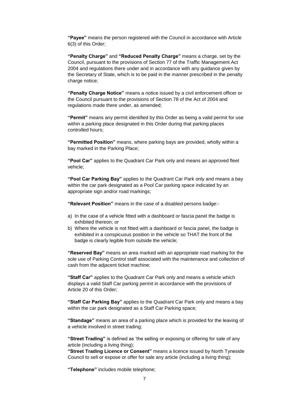**"Payee"** means the person registered with the Council in accordance with Article 6(3) of this Order;

**"Penalty Charge"** and **"Reduced Penalty Charge"** means a charge, set by the Council, pursuant to the provisions of Section 77 of the Traffic Management Act 2004 and regulations there under and in accordance with any guidance given by the Secretary of State, which is to be paid in the manner prescribed in the penalty charge notice;

**"Penalty Charge Notice"** means a notice issued by a civil enforcement officer or the Council pursuant to the provisions of Section 78 of the Act of 2004 and regulations made there under, as amended;

**"Permit"** means any permit identified by this Order as being a valid permit for use within a parking place designated in this Order during that parking places controlled hours;

**"Permitted Position"** means, where parking bays are provided, wholly within a bay marked in the Parking Place;

**"Pool Car"** applies to the Quadrant Car Park only and means an approved fleet vehicle;

**"Pool Car Parking Bay"** applies to the Quadrant Car Park only and means a bay within the car park designated as a Pool Car parking space indicated by an appropriate sign and/or road markings;

**"Relevant Position"** means in the case of a disabled persons badge:-

- a) In the case of a vehicle fitted with a dashboard or fascia panel the badge is exhibited thereon; or
- b) Where the vehicle is not fitted with a dashboard or fascia panel, the badge is exhibited in a conspicuous position in the vehicle so THAT the front of the badge is clearly legible from outside the vehicle;

**"Reserved Bay"** means an area marked with an appropriate road marking for the sole use of Parking Control staff associated with the maintenance and collection of cash from the adjacent ticket machine;

**"Staff Car"** applies to the Quadrant Car Park only and means a vehicle which displays a valid Staff Car parking permit in accordance with the provisions of Article 20 of this Order;

**"Staff Car Parking Bay"** applies to the Quadrant Car Park only and means a bay within the car park designated as a Staff Car Parking space;

**"Standage"** means an area of a parking place which is provided for the leaving of a vehicle involved in street trading;

**"Street Trading"** is defined as 'the selling or exposing or offering for sale of any article (including a living thing);

**"Street Trading Licence or Consent"** means a licence issued by North Tyneside Council to sell or expose or offer for sale any article (including a living thing);

**"Telephone"** includes mobile telephone;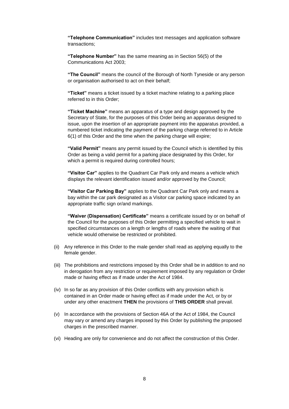**"Telephone Communication"** includes text messages and application software transactions;

**"Telephone Number"** has the same meaning as in Section 56(5) of the Communications Act 2003;

**"The Council"** means the council of the Borough of North Tyneside or any person or organisation authorised to act on their behalf;

**"Ticket"** means a ticket issued by a ticket machine relating to a parking place referred to in this Order;

**"Ticket Machine"** means an apparatus of a type and design approved by the Secretary of State, for the purposes of this Order being an apparatus designed to issue, upon the insertion of an appropriate payment into the apparatus provided, a numbered ticket indicating the payment of the parking charge referred to in Article 6(1) of this Order and the time when the parking charge will expire;

**"Valid Permit"** means any permit issued by the Council which is identified by this Order as being a valid permit for a parking place designated by this Order, for which a permit is required during controlled hours;

**"Visitor Car"** applies to the Quadrant Car Park only and means a vehicle which displays the relevant identification issued and/or approved by the Council;

**"Visitor Car Parking Bay"** applies to the Quadrant Car Park only and means a bay within the car park designated as a Visitor car parking space indicated by an appropriate traffic sign or/and markings.

**"Waiver (Dispensation) Certificate"** means a certificate issued by or on behalf of the Council for the purposes of this Order permitting a specified vehicle to wait in specified circumstances on a length or lengths of roads where the waiting of that vehicle would otherwise be restricted or prohibited.

- (ii) Any reference in this Order to the male gender shall read as applying equally to the female gender.
- (iii) The prohibitions and restrictions imposed by this Order shall be in addition to and no in derogation from any restriction or requirement imposed by any regulation or Order made or having effect as if made under the Act of 1984.
- (iv) In so far as any provision of this Order conflicts with any provision which is contained in an Order made or having effect as if made under the Act, or by or under any other enactment **THEN** the provisions of **THIS ORDER** shall prevail.
- (v) In accordance with the provisions of Section 46A of the Act of 1984, the Council may vary or amend any charges imposed by this Order by publishing the proposed charges in the prescribed manner.
- (vi) Heading are only for convenience and do not affect the construction of this Order.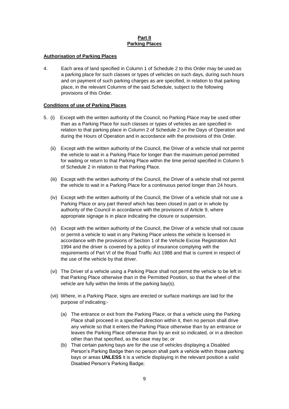#### **Part II Parking Places**

#### **Authorisation of Parking Places**

4. Each area of land specified in Column 1 of Schedule 2 to this Order may be used as a parking place for such classes or types of vehicles on such days, during such hours and on payment of such parking charges as are specified, in relation to that parking place, in the relevant Columns of the said Schedule, subject to the following provisions of this Order.

#### **Conditions of use of Parking Places**

- 5. (i) Except with the written authority of the Council, no Parking Place may be used other than as a Parking Place for such classes or types of vehicles as are specified in relation to that parking place in Column 2 of Schedule 2 on the Days of Operation and during the Hours of Operation and in accordance with the provisions of this Order.
	- (ii) Except with the written authority of the Council, the Driver of a vehicle shall not permit the vehicle to wait in a Parking Place for longer than the maximum period permitted for waiting or return to that Parking Place within the time period specified in Column 5 of Schedule 2 in relation to that Parking Place.
	- (iii) Except with the written authority of the Council, the Driver of a vehicle shall not permit the vehicle to wait in a Parking Place for a continuous period longer than 24 hours.
	- (iv) Except with the written authority of the Council, the Driver of a vehicle shall not use a Parking Place or any part thereof which has been closed in part or in whole by authority of the Council in accordance with the provisions of Article 9, where appropriate signage is in place indicating the closure or suspension.
	- (v) Except with the written authority of the Council, the Driver of a vehicle shall not cause or permit a vehicle to wait in any Parking Place unless the vehicle is licensed in accordance with the provisions of Section 1 of the Vehicle Excise Registration Act 1994 and the driver is covered by a policy of insurance complying with the requirements of Part VI of the Road Traffic Act 1988 and that is current in respect of the use of the vehicle by that driver.
	- (vi) The Driver of a vehicle using a Parking Place shall not permit the vehicle to be left in that Parking Place otherwise than in the Permitted Position, so that the wheel of the vehicle are fully within the limits of the parking bay(s).
	- (vii) Where, in a Parking Place, signs are erected or surface markings are laid for the purpose of indicating:-
		- (a) The entrance or exit from the Parking Place, or that a vehicle using the Parking Place shall proceed in a specified direction within it, then no person shall drive any vehicle so that it enters the Parking Place otherwise than by an entrance or leaves the Parking Place otherwise than by an exit so indicated, or in a direction other than that specified, as the case may be; or
		- (b) That certain parking bays are for the use of vehicles displaying a Disabled Person's Parking Badge then no person shall park a vehicle within those parking bays or areas **UNLESS** it is a vehicle displaying in the relevant position a valid Disabled Person's Parking Badge;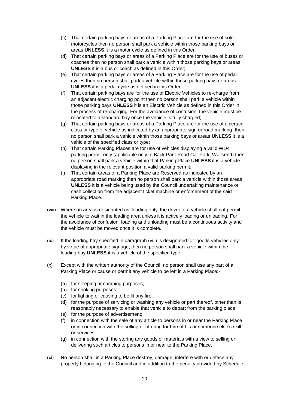- (c) That certain parking bays or areas of a Parking Place are for the use of solo motorcycles then no person shall park a vehicle within those parking bays or areas **UNLESS** it is a motor cycle as defined in this Order;
- (d) That certain parking bays or areas of a Parking Place are for the use of buses or coaches then no person shall park a vehicle within those parking bays or areas **UNLESS** it is a bus or coach as defined in this Order;
- (e) That certain parking bays or areas of a Parking Place are for the use of pedal cycles then no person shall park a vehicle within those parking bays or areas **UNLESS** it is a pedal cycle as defined in this Order;
- (f) That certain parking bays are for the use of Electric Vehicles to re-charge from an adjacent electric charging point then no person shall park a vehicle within those parking bays **UNLESS** it is an Electric Vehicle as defined in this Order in the process of re-charging. For the avoidance of confusion, the vehicle must be relocated to a standard bay once the vehicle is fully charged;
- (g) That certain parking bays or areas of a Parking Place are for the use of a certain class or type of vehicle as indicated by an appropriate sign or road marking, then no person shall park a vehicle within those parking bays or areas **UNLESS** it is a vehicle of the specified class or type;
- (h) That certain Parking Places are for use of vehicles displaying a valid WD4 parking permit only (applicable only to Back Park Road Car Park, Wallsend) then no person shall park a vehicle within that Parking Place **UNLESS** it is a vehicle displaying in the relevant position a valid parking permit;
- (i) That certain areas of a Parking Place are Reserved as indicated by an appropriate road marking then no person shall park a vehicle within those areas **UNLESS** it is a vehicle being used by the Council undertaking maintenance or cash collection from the adjacent ticket machine or enforcement of the said Parking Place.
- (viii) Where an area is designated as 'loading only' the driver of a vehicle shall not permit the vehicle to wait in the loading area unless it is actively loading or unloading. For the avoidance of confusion, loading and unloading must be a continuous activity and the vehicle must be moved once it is complete.
- (ix) If the loading bay specified in paragraph (viii) is designated for 'goods vehicles only' by virtue of appropriate signage, then no person shall park a vehicle within the loading bay **UNLESS** it is a vehicle of the specified type.
- (x) Except with the written authority of the Council, no person shall use any part of a Parking Place or cause or permit any vehicle to be left in a Parking Place:-
	- (a) for sleeping or camping purposes;
	- (b) for cooking purposes;
	- (c) for lighting or causing to be lit any fire;
	- (d) for the purpose of servicing or washing any vehicle or part thereof, other than is reasonably necessary to enable that vehicle to depart from the parking place;
	- (e) for the purpose of advertisement;
	- (f) in connection with the sale of any article to persons in or near the Parking Place or in connection with the selling or offering for hire of his or someone else's skill or services;
	- (g) in connection with the storing any goods or materials with a view to selling or delivering such articles to persons in or near to the Parking Place.
- (xi) No person shall in a Parking Place destroy, damage, interfere with or deface any property belonging to the Council and in addition to the penalty provided by Schedule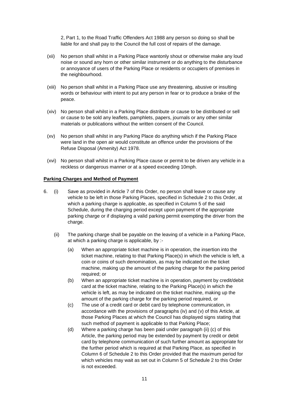2, Part 1, to the Road Traffic Offenders Act 1988 any person so doing so shall be liable for and shall pay to the Council the full cost of repairs of the damage.

- (xii) No person shall whilst in a Parking Place wantonly shout or otherwise make any loud noise or sound any horn or other similar instrument or do anything to the disturbance or annoyance of users of the Parking Place or residents or occupiers of premises in the neighbourhood.
- (xiii) No person shall whilst in a Parking Place use any threatening, abusive or insulting words or behaviour with intent to put any person in fear or to produce a brake of the peace.
- (xiv) No person shall whilst in a Parking Place distribute or cause to be distributed or sell or cause to be sold any leaflets, pamphlets, papers, journals or any other similar materials or publications without the written consent of the Council.
- (xv) No person shall whilst in any Parking Place do anything which if the Parking Place were land in the open air would constitute an offence under the provisions of the Refuse Disposal (Amenity) Act 1978.
- (xvi) No person shall whilst in a Parking Place cause or permit to be driven any vehicle in a reckless or dangerous manner or at a speed exceeding 10mph.

#### **Parking Charges and Method of Payment**

- 6. (i) Save as provided in Article 7 of this Order, no person shall leave or cause any vehicle to be left in those Parking Places, specified in Schedule 2 to this Order, at which a parking charge is applicable, as specified in Column 5 of the said Schedule, during the charging period except upon payment of the appropriate parking charge or if displaying a valid parking permit exempting the driver from the charge.
	- (ii) The parking charge shall be payable on the leaving of a vehicle in a Parking Place, at which a parking charge is applicable, by :-
		- (a) When an appropriate ticket machine is in operation, the insertion into the ticket machine, relating to that Parking Place(s) in which the vehicle is left, a coin or coins of such denomination, as may be indicated on the ticket machine, making up the amount of the parking charge for the parking period required; or
		- (b) When an appropriate ticket machine is in operation, payment by credit/debit card at the ticket machine, relating to the Parking Place(s) in which the vehicle is left, as may be indicated on the ticket machine, making up the amount of the parking charge for the parking period required, or
		- (c) The use of a credit card or debit card by telephone communication, in accordance with the provisions of paragraphs (iv) and (v) of this Article, at those Parking Places at which the Council has displayed signs stating that such method of payment is applicable to that Parking Place;
		- (d) Where a parking charge has been paid under paragraph (ii) (c) of this Article, the parking period may be extended by payment by credit or debit card by telephone communication of such further amount as appropriate for the further period which is required at that Parking Place, as specified in Column 6 of Schedule 2 to this Order provided that the maximum period for which vehicles may wait as set out in Column 5 of Schedule 2 to this Order is not exceeded.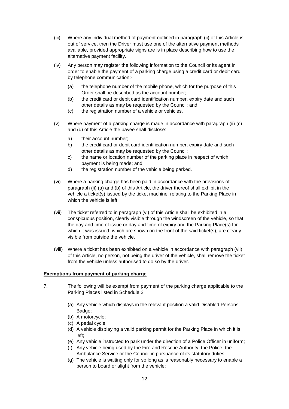- (iii) Where any individual method of payment outlined in paragraph (ii) of this Article is out of service, then the Driver must use one of the alternative payment methods available, provided appropriate signs are is in place describing how to use the alternative payment facility.
- (iv) Any person may register the following information to the Council or its agent in order to enable the payment of a parking charge using a credit card or debit card by telephone communication:-
	- (a) the telephone number of the mobile phone, which for the purpose of this Order shall be described as the account number;
	- (b) the credit card or debit card identification number, expiry date and such other details as may be requested by the Council; and
	- (c) the registration number of a vehicle or vehicles.
- (v) Where payment of a parking charge is made in accordance with paragraph (ii) (c) and (d) of this Article the payee shall disclose:
	- a) their account number;
	- b) the credit card or debit card identification number, expiry date and such other details as may be requested by the Council;
	- c) the name or location number of the parking place in respect of which payment is being made; and
	- d) the registration number of the vehicle being parked.
- (vi) Where a parking charge has been paid in accordance with the provisions of paragraph (ii) (a) and (b) of this Article, the driver thereof shall exhibit in the vehicle a ticket(s) issued by the ticket machine, relating to the Parking Place in which the vehicle is left.
- (vii) The ticket referred to in paragraph (vi) of this Article shall be exhibited in a conspicuous position, clearly visible through the windscreen of the vehicle, so that the day and time of issue or day and time of expiry and the Parking Place(s) for which it was issued, which are shown on the front of the said ticket(s), are clearly visible from outside the vehicle.
- (viii) Where a ticket has been exhibited on a vehicle in accordance with paragraph (vii) of this Article, no person, not being the driver of the vehicle, shall remove the ticket from the vehicle unless authorised to do so by the driver.

#### **Exemptions from payment of parking charge**

- 7. The following will be exempt from payment of the parking charge applicable to the Parking Places listed in Schedule 2.
	- (a) Any vehicle which displays in the relevant position a valid Disabled Persons Badge;
	- (b) A motorcycle;
	- (c) A pedal cycle
	- (d) A vehicle displaying a valid parking permit for the Parking Place in which it is left;
	- (e) Any vehicle instructed to park under the direction of a Police Officer in uniform;
	- (f) Any vehicle being used by the Fire and Rescue Authority, the Police, the Ambulance Service or the Council in pursuance of its statutory duties;
	- (g) The vehicle is waiting only for so long as is reasonably necessary to enable a person to board or alight from the vehicle;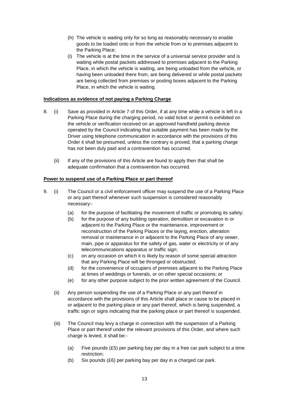- (h) The vehicle is waiting only for so long as reasonably necessary to enable goods to be loaded onto or from the vehicle from or to premises adjacent to the Parking Place;
- (i) The vehicle is at the time in the service of a universal service provider and is waiting while postal packets addressed to premises adjacent to the Parking Place, in which the vehicle is waiting, are being unloaded from the vehicle, or having been unloaded there from, are being delivered or while postal packets are being collected from premises or posting boxes adjacent to the Parking Place, in which the vehicle is waiting.

#### **Indications as evidence of not paying a Parking Charge**

- 8. (i) Save as provided in Article 7 of this Order, if at any time while a vehicle is left in a Parking Place during the charging period, no valid ticket or permit is exhibited on the vehicle or verification received on an approved handheld parking device operated by the Council indicating that suitable payment has been made by the Driver using telephone communication in accordance with the provisions of this Order it shall be presumed, unless the contrary is proved, that a parking charge has not been duly paid and a contravention has occurred.
	- (ii) If any of the provisions of this Article are found to apply then that shall be adequate confirmation that a contravention has occurred.

#### **Power to suspend use of a Parking Place or part thereof**

- 9. (i) The Council or a civil enforcement officer may suspend the use of a Parking Place or any part thereof whenever such suspension is considered reasonably necessary:-
	- (a) for the purpose of facilitating the movement of traffic or promoting its safety;
	- (b) for the purpose of any building operation, demolition or excavation in or adjacent to the Parking Place or the maintenance, improvement or reconstruction of the Parking Places or the laying, erection, alteration removal or maintenance in or adjacent to the Parking Place of any sewer, main, pipe or apparatus for the safety of gas, water or electricity or of any telecommunications apparatus or traffic sign;
	- (c) on any occasion on which it is likely by reason of some special attraction that any Parking Place will be thronged or obstructed;
	- (d) for the convenience of occupiers of premises adjacent to the Parking Place at times of weddings or funerals, or on other special occasions; or
	- (e) for any other purpose subject to the prior written agreement of the Council.
	- (ii) Any person suspending the use of a Parking Place or any part thereof in accordance with the provisions of this Article shall place or cause to be placed in or adjacent to the parking place or any part thereof, which is being suspended, a traffic sign or signs indicating that the parking place or part thereof is suspended.
	- (iii) The Council may levy a charge in connection with the suspension of a Parking Place or part thereof under the relevant provisions of this Order, and where such charge is levied, it shall be:-
		- (a) Five pounds (£5) per parking bay per day in a free car park subject to a time restriction;
		- (b) Six pounds (£6) per parking bay per day in a charged car park.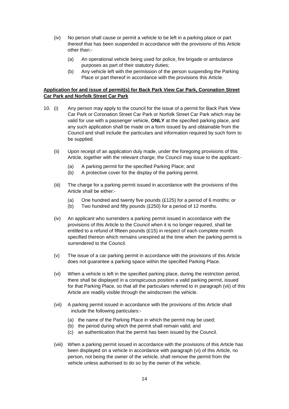- (iv) No person shall cause or permit a vehicle to be left in a parking place or part thereof that has been suspended in accordance with the provisions of this Article other than:-
	- (a) An operational vehicle being used for police, fire brigade or ambulance purposes as part of their statutory duties;
	- (b) Any vehicle left with the permission of the person suspending the Parking Place or part thereof in accordance with the provisions this Article.

#### **Application for and issue of permit(s) for Back Park View Car Park, Coronation Street Car Park and Norfolk Street Car Park**

- 10. (i) Any person may apply to the council for the issue of a permit for Back Park View Car Park or Coronation Street Car Park or Norfolk Street Car Park which may be valid for use with a passenger vehicle, **ONLY** at the specified parking place, and any such application shall be made on a form issued by and obtainable from the Council and shall include the particulars and information required by such form to be supplied.
	- (ii) Upon receipt of an application duly made, under the foregoing provisions of this Article, together with the relevant charge, the Council may issue to the applicant:-
		- (a) A parking permit for the specified Parking Place; and
		- (b) A protective cover for the display of the parking permit.
	- (iii) The charge for a parking permit issued in accordance with the provisions of this Article shall be either:-
		- (a) One hundred and twenty five pounds (£125) for a period of 6 months: or
		- (b) Two hundred and fifty pounds (£250) for a period of 12 months.
	- (iv) An applicant who surrenders a parking permit issued in accordance with the provisions of this Article to the Council when it is no longer required, shall be entitled to a refund of fifteen pounds (£15) in respect of each complete month specified thereon which remains unexpired at the time when the parking permit is surrendered to the Council.
	- (v) The issue of a car parking permit in accordance with the provisions of this Article does not guarantee a parking space within the specified Parking Place.
	- (vi) When a vehicle is left in the specified parking place, during the restriction period, there shall be displayed in a conspicuous position a valid parking permit, issued for that Parking Place, so that all the particulars referred to in paragraph (vii) of this Article are readily visible through the windscreen the vehicle.
	- (vii) A parking permit issued in accordance with the provisions of this Article shall include the following particulars:-
		- (a) the name of the Parking Place in which the permit may be used;
		- (b) the period during which the permit shall remain valid; and
		- (c) an authentication that the permit has been issued by the Council.
	- (viii) When a parking permit issued in accordance with the provisions of this Article has been displayed on a vehicle in accordance with paragraph (vi) of this Article, no person, not being the owner of the vehicle, shall remove the permit from the vehicle unless authorised to do so by the owner of the vehicle.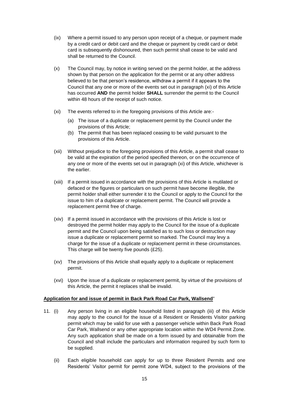- (ix) Where a permit issued to any person upon receipt of a cheque, or payment made by a credit card or debit card and the cheque or payment by credit card or debit card is subsequently dishonoured, then such permit shall cease to be valid and shall be returned to the Council.
- (x) The Council may, by notice in writing served on the permit holder, at the address shown by that person on the application for the permit or at any other address believed to be that person's residence, withdraw a permit if it appears to the Council that any one or more of the events set out in paragraph (xi) of this Article has occurred **AND** the permit holder **SHALL** surrender the permit to the Council within 48 hours of the receipt of such notice.
- (xi) The events referred to in the foregoing provisions of this Article are:-
	- (a) The issue of a duplicate or replacement permit by the Council under the provisions of this Article;
	- (b) The permit that has been replaced ceasing to be valid pursuant to the provisions of this Article.
- (xii) Without prejudice to the foregoing provisions of this Article, a permit shall cease to be valid at the expiration of the period specified thereon, or on the occurrence of any one or more of the events set out in paragraph (xi) of this Article, whichever is the earlier.
- (xiii) If a permit issued in accordance with the provisions of this Article is mutilated or defaced or the figures or particulars on such permit have become illegible, the permit holder shall either surrender it to the Council or apply to the Council for the issue to him of a duplicate or replacement permit. The Council will provide a replacement permit free of charge.
- (xiv) If a permit issued in accordance with the provisions of this Article is lost or destroyed the permit holder may apply to the Council for the issue of a duplicate permit and the Council upon being satisfied as to such loss or destruction may issue a duplicate or replacement permit so marked. The Council may levy a charge for the issue of a duplicate or replacement permit in these circumstances. This charge will be twenty five pounds (£25).
- (xv) The provisions of this Article shall equally apply to a duplicate or replacement permit.
- (xvi) Upon the issue of a duplicate or replacement permit, by virtue of the provisions of this Article, the permit it replaces shall be invalid.

#### **Application for and issue of permit in Back Park Road Car Park, Wallsend**"

- 11. (i) Any person living in an eligible household listed in paragraph (iii) of this Article may apply to the council for the issue of a Resident or Residents Visitor parking permit which may be valid for use with a passenger vehicle within Back Park Road Car Park, Wallsend or any other appropriate location within the WD4 Permit Zone. Any such application shall be made on a form issued by and obtainable from the Council and shall include the particulars and information required by such form to be supplied.
	- (ii) Each eligible household can apply for up to three Resident Permits and one Residents' Visitor permit for permit zone WD4, subject to the provisions of the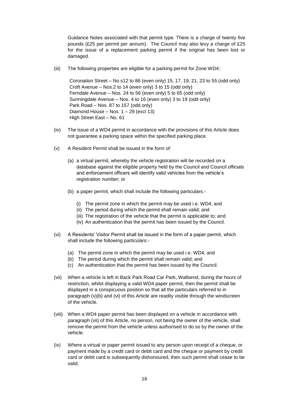Guidance Notes associated with that permit type. There is a charge of twenty five pounds (£25 per permit per annum). The Council may also levy a charge of £25 for the issue of a replacement parking permit if the original has been lost or damaged.

(iii) The following properties are eligible for a parking permit for Zone WD4:

Coronation Street – No.s12 to 86 (even only) 15, 17, 19, 21, 23 to 55 (odd only) Croft Avenue – Nos.2 to 14 (even only) 3 to 15 (odd only) Ferndale Avenue – Nos. 24 to 56 (even only) 5 to 65 (odd only) Sunningdale Avenue – Nos. 4 to 16 (even only) 3 to 19 (odd only) Park Road – Nos. 87 to 157 (odd only) Diamond House – Nos. 1 – 29 (excl 13) High Street East – No. 61

- (iv) The issue of a WD4 permit in accordance with the provisions of this Article does not guarantee a parking space within the specified parking place.
- (v) A Resident Permit shall be issued in the form of:
	- (a) a virtual permit, whereby the vehicle registration will be recorded on a database against the eligible property held by the Council and Council officials and enforcement officers will identify valid vehicles from the vehicle's registration number; or
	- (b) a paper permit, which shall include the following particulars:-
		- (i) The permit zone in which the permit may be used i.e. WD4; and
		- (ii) The period during which the permit shall remain valid; and
		- (iii) The registration of the vehicle that the permit is applicable to; and
		- (iv) An authentication that the permit has been issued by the Council.
- (vi) A Residents' Visitor Permit shall be issued in the form of a paper permit, which shall include the following particulars:-
	- (a) The permit zone in which the permit may be used i.e. WD4; and
	- (b) The period during which the permit shall remain valid; and
	- (c) An authentication that the permit has been issued by the Council.
- (vii) When a vehicle is left in Back Park Road Car Park, Wallsend, during the hours of restriction, whilst displaying a valid WD4 paper permit, then the permit shall be displayed in a conspicuous position so that all the particulars referred to in paragraph (v)(b) and (vi) of this Article are readily visible through the windscreen of the vehicle.
- (viii) When a WD4 paper permit has been displayed on a vehicle in accordance with paragraph (vii) of this Article, no person, not being the owner of the vehicle, shall remove the permit from the vehicle unless authorised to do so by the owner of the vehicle.
- (ix) Where a virtual or paper permit issued to any person upon receipt of a cheque, or payment made by a credit card or debit card and the cheque or payment by credit card or debit card is subsequently dishonoured, then such permit shall cease to be valid.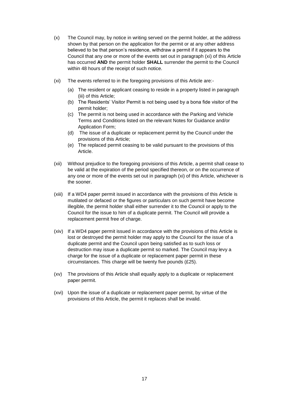- (x) The Council may, by notice in writing served on the permit holder, at the address shown by that person on the application for the permit or at any other address believed to be that person's residence, withdraw a permit if it appears to the Council that any one or more of the events set out in paragraph (xi) of this Article has occurred **AND** the permit holder **SHALL** surrender the permit to the Council within 48 hours of the receipt of such notice.
- (xi) The events referred to in the foregoing provisions of this Article are:-
	- (a) The resident or applicant ceasing to reside in a property listed in paragraph (iii) of this Article;
	- (b) The Residents' Visitor Permit is not being used by a bona fide visitor of the permit holder;
	- (c) The permit is not being used in accordance with the Parking and Vehicle Terms and Conditions listed on the relevant Notes for Guidance and/or Application Form;
	- (d) The issue of a duplicate or replacement permit by the Council under the provisions of this Article;
	- (e) The replaced permit ceasing to be valid pursuant to the provisions of this Article.
- (xii) Without prejudice to the foregoing provisions of this Article, a permit shall cease to be valid at the expiration of the period specified thereon, or on the occurrence of any one or more of the events set out in paragraph (xi) of this Article, whichever is the sooner.
- (xiii) If a WD4 paper permit issued in accordance with the provisions of this Article is mutilated or defaced or the figures or particulars on such permit have become illegible, the permit holder shall either surrender it to the Council or apply to the Council for the issue to him of a duplicate permit. The Council will provide a replacement permit free of charge.
- (xiv) If a WD4 paper permit issued in accordance with the provisions of this Article is lost or destroyed the permit holder may apply to the Council for the issue of a duplicate permit and the Council upon being satisfied as to such loss or destruction may issue a duplicate permit so marked. The Council may levy a charge for the issue of a duplicate or replacement paper permit in these circumstances. This charge will be twenty five pounds (£25).
- (xv) The provisions of this Article shall equally apply to a duplicate or replacement paper permit.
- (xvi) Upon the issue of a duplicate or replacement paper permit, by virtue of the provisions of this Article, the permit it replaces shall be invalid.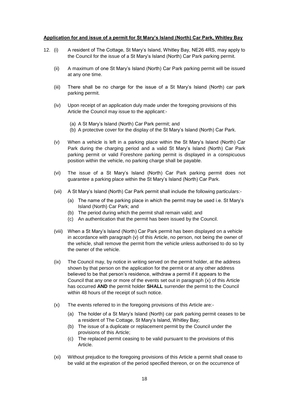#### **Application for and issue of a permit for St Mary's Island (North) Car Park, Whitley Bay**

- 12. (i) A resident of The Cottage, St Mary's Island, Whitley Bay, NE26 4RS, may apply to the Council for the issue of a St Mary's Island (North) Car Park parking permit.
	- (ii) A maximum of one St Mary's Island (North) Car Park parking permit will be issued at any one time.
	- (iii) There shall be no charge for the issue of a St Mary's Island (North) car park parking permit.
	- (iv) Upon receipt of an application duly made under the foregoing provisions of this Article the Council may issue to the applicant:-
		- (a) A St Mary's Island (North) Car Park permit; and
		- (b) A protective cover for the display of the St Mary's Island (North) Car Park.
	- (v) When a vehicle is left in a parking place within the St Mary's Island (North) Car Park during the charging period and a valid St Mary's Island (North) Car Park parking permit or valid Foreshore parking permit is displayed in a conspicuous position within the vehicle, no parking charge shall be payable.
	- (vi) The issue of a St Mary's Island (North) Car Park parking permit does not guarantee a parking place within the St Mary's Island (North) Car Park.
	- (vii) A St Mary's Island (North) Car Park permit shall include the following particulars:-
		- (a) The name of the parking place in which the permit may be used i.e. St Mary's Island (North) Car Park; and
		- (b) The period during which the permit shall remain valid; and
		- (c) An authentication that the permit has been issued by the Council.
	- (viii) When a St Mary's Island (North) Car Park permit has been displayed on a vehicle in accordance with paragraph (v) of this Article, no person, not being the owner of the vehicle, shall remove the permit from the vehicle unless authorised to do so by the owner of the vehicle.
	- (ix) The Council may, by notice in writing served on the permit holder, at the address shown by that person on the application for the permit or at any other address believed to be that person's residence, withdraw a permit if it appears to the Council that any one or more of the events set out in paragraph (x) of this Article has occurred **AND** the permit holder **SHALL** surrender the permit to the Council within 48 hours of the receipt of such notice.
	- (x) The events referred to in the foregoing provisions of this Article are:-
		- (a) The holder of a St Mary's Island (North) car park parking permit ceases to be a resident of The Cottage, St Mary's Island, Whitley Bay;
		- (b) The issue of a duplicate or replacement permit by the Council under the provisions of this Article;
		- (c) The replaced permit ceasing to be valid pursuant to the provisions of this Article.
	- (xi) Without prejudice to the foregoing provisions of this Article a permit shall cease to be valid at the expiration of the period specified thereon, or on the occurrence of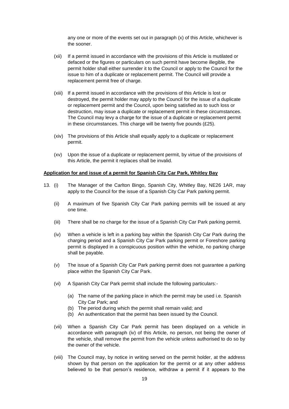any one or more of the events set out in paragraph (x) of this Article, whichever is the sooner.

- (xii) If a permit issued in accordance with the provisions of this Article is mutilated or defaced or the figures or particulars on such permit have become illegible, the permit holder shall either surrender it to the Council or apply to the Council for the issue to him of a duplicate or replacement permit. The Council will provide a replacement permit free of charge.
- (xiii) If a permit issued in accordance with the provisions of this Article is lost or destroyed, the permit holder may apply to the Council for the issue of a duplicate or replacement permit and the Council, upon being satisfied as to such loss or destruction, may issue a duplicate or replacement permit in these circumstances. The Council may levy a charge for the issue of a duplicate or replacement permit in these circumstances. This charge will be twenty five pounds (£25).
- (xiv) The provisions of this Article shall equally apply to a duplicate or replacement permit.
- (xv) Upon the issue of a duplicate or replacement permit, by virtue of the provisions of this Article, the permit it replaces shall be invalid.

#### **Application for and issue of a permit for Spanish City Car Park, Whitley Bay**

- 13. (i) The Manager of the Carlton Bingo, Spanish City, Whitley Bay, NE26 1AR, may apply to the Council for the issue of a Spanish City Car Park parking permit.
	- (ii) A maximum of five Spanish City Car Park parking permits will be issued at any one time.
	- (iii) There shall be no charge for the issue of a Spanish City Car Park parking permit.
	- (iv) When a vehicle is left in a parking bay within the Spanish City Car Park during the charging period and a Spanish City Car Park parking permit or Foreshore parking permit is displayed in a conspicuous position within the vehicle, no parking charge shall be payable.
	- (v) The issue of a Spanish City Car Park parking permit does not guarantee a parking place within the Spanish City Car Park.
	- (vi) A Spanish City Car Park permit shall include the following particulars:-
		- (a) The name of the parking place in which the permit may be used i.e. Spanish City Car Park; and
		- (b) The period during which the permit shall remain valid; and
		- (b) An authentication that the permit has been issued by the Council.
	- (vii) When a Spanish City Car Park permit has been displayed on a vehicle in accordance with paragraph (iv) of this Article, no person, not being the owner of the vehicle, shall remove the permit from the vehicle unless authorised to do so by the owner of the vehicle.
	- (viii) The Council may, by notice in writing served on the permit holder, at the address shown by that person on the application for the permit or at any other address believed to be that person's residence, withdraw a permit if it appears to the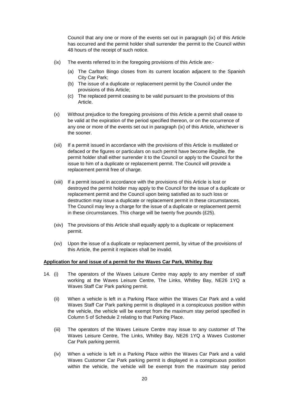Council that any one or more of the events set out in paragraph (ix) of this Article has occurred and the permit holder shall surrender the permit to the Council within 48 hours of the receipt of such notice.

- (ix) The events referred to in the foregoing provisions of this Article are:-
	- (a) The Carlton Bingo closes from its current location adjacent to the Spanish City Car Park;
	- (b) The issue of a duplicate or replacement permit by the Council under the provisions of this Article;
	- (c) The replaced permit ceasing to be valid pursuant to the provisions of this Article.
- (x) Without prejudice to the foregoing provisions of this Article a permit shall cease to be valid at the expiration of the period specified thereon, or on the occurrence of any one or more of the events set out in paragraph (ix) of this Article, whichever is the sooner.
- (xii) If a permit issued in accordance with the provisions of this Article is mutilated or defaced or the figures or particulars on such permit have become illegible, the permit holder shall either surrender it to the Council or apply to the Council for the issue to him of a duplicate or replacement permit. The Council will provide a replacement permit free of charge.
- (xiii) If a permit issued in accordance with the provisions of this Article is lost or destroyed the permit holder may apply to the Council for the issue of a duplicate or replacement permit and the Council upon being satisfied as to such loss or destruction may issue a duplicate or replacement permit in these circumstances. The Council may levy a charge for the issue of a duplicate or replacement permit in these circumstances. This charge will be twenty five pounds (£25).
- (xiv) The provisions of this Article shall equally apply to a duplicate or replacement permit.
- (xv) Upon the issue of a duplicate or replacement permit, by virtue of the provisions of this Article, the permit it replaces shall be invalid.

#### **Application for and issue of a permit for the Waves Car Park, Whitley Bay**

- 14. (i) The operators of the Waves Leisure Centre may apply to any member of staff working at the Waves Leisure Centre, The Links, Whitley Bay, NE26 1YQ a Waves Staff Car Park parking permit.
	- (ii) When a vehicle is left in a Parking Place within the Waves Car Park and a valid Waves Staff Car Park parking permit is displayed in a conspicuous position within the vehicle, the vehicle will be exempt from the maximum stay period specified in Column 5 of Schedule 2 relating to that Parking Place.
	- (iii) The operators of the Waves Leisure Centre may issue to any customer of The Waves Leisure Centre, The Links, Whitley Bay, NE26 1YQ a Waves Customer Car Park parking permit.
	- (iv) When a vehicle is left in a Parking Place within the Waves Car Park and a valid Waves Customer Car Park parking permit is displayed in a conspicuous position within the vehicle, the vehicle will be exempt from the maximum stay period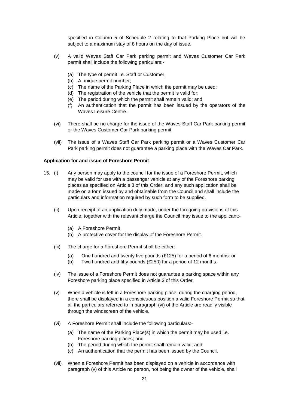specified in Column 5 of Schedule 2 relating to that Parking Place but will be subject to a maximum stay of 8 hours on the day of issue.

- (v) A valid Waves Staff Car Park parking permit and Waves Customer Car Park permit shall include the following particulars:-
	- (a) The type of permit i.e. Staff or Customer;
	- (b) A unique permit number;
	- (c) The name of the Parking Place in which the permit may be used;
	- (d) The registration of the vehicle that the permit is valid for;
	- (e) The period during which the permit shall remain valid; and
	- (f) An authentication that the permit has been issued by the operators of the Waves Leisure Centre.
- (vi) There shall be no charge for the issue of the Waves Staff Car Park parking permit or the Waves Customer Car Park parking permit.
- (vii) The issue of a Waves Staff Car Park parking permit or a Waves Customer Car Park parking permit does not guarantee a parking place with the Waves Car Park.

#### **Application for and issue of Foreshore Permit**

- 15. (i) Any person may apply to the council for the issue of a Foreshore Permit, which may be valid for use with a passenger vehicle at any of the Foreshore parking places as specified on Article 3 of this Order, and any such application shall be made on a form issued by and obtainable from the Council and shall include the particulars and information required by such form to be supplied.
	- (ii) Upon receipt of an application duly made, under the foregoing provisions of this Article, together with the relevant charge the Council may issue to the applicant:-
		- (a) A Foreshore Permit
		- (b) A protective cover for the display of the Foreshore Permit.
	- (iii) The charge for a Foreshore Permit shall be either:-
		- (a) One hundred and twenty five pounds (£125) for a period of 6 months: or
		- (b) Two hundred and fifty pounds (£250) for a period of 12 months.
	- (iv) The issue of a Foreshore Permit does not guarantee a parking space within any Foreshore parking place specified in Article 3 of this Order.
	- (v) When a vehicle is left in a Foreshore parking place, during the charging period, there shall be displayed in a conspicuous position a valid Foreshore Permit so that all the particulars referred to in paragraph (vi) of the Article are readily visible through the windscreen of the vehicle.
	- (vi) A Foreshore Permit shall include the following particulars:-
		- (a) The name of the Parking Place(s) in which the permit may be used i.e. Foreshore parking places; and
		- (b) The period during which the permit shall remain valid; and
		- (c) An authentication that the permit has been issued by the Council.
	- (vii) When a Foreshore Permit has been displayed on a vehicle in accordance with paragraph (v) of this Article no person, not being the owner of the vehicle, shall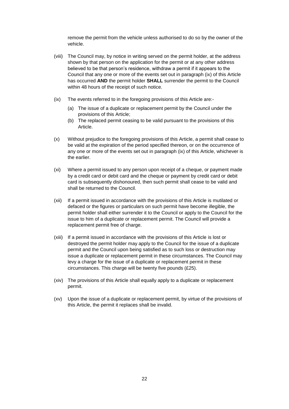remove the permit from the vehicle unless authorised to do so by the owner of the vehicle.

- (viii) The Council may, by notice in writing served on the permit holder, at the address shown by that person on the application for the permit or at any other address believed to be that person's residence, withdraw a permit if it appears to the Council that any one or more of the events set out in paragraph (ix) of this Article has occurred **AND** the permit holder **SHALL** surrender the permit to the Council within 48 hours of the receipt of such notice.
- (ix) The events referred to in the foregoing provisions of this Article are:-
	- (a) The issue of a duplicate or replacement permit by the Council under the provisions of this Article;
	- (b) The replaced permit ceasing to be valid pursuant to the provisions of this Article.
- (x) Without prejudice to the foregoing provisions of this Article, a permit shall cease to be valid at the expiration of the period specified thereon, or on the occurrence of any one or more of the events set out in paragraph (ix) of this Article, whichever is the earlier.
- (xi) Where a permit issued to any person upon receipt of a cheque, or payment made by a credit card or debit card and the cheque or payment by credit card or debit card is subsequently dishonoured, then such permit shall cease to be valid and shall be returned to the Council.
- (xii) If a permit issued in accordance with the provisions of this Article is mutilated or defaced or the figures or particulars on such permit have become illegible, the permit holder shall either surrender it to the Council or apply to the Council for the issue to him of a duplicate or replacement permit. The Council will provide a replacement permit free of charge.
- (xiii) If a permit issued in accordance with the provisions of this Article is lost or destroyed the permit holder may apply to the Council for the issue of a duplicate permit and the Council upon being satisfied as to such loss or destruction may issue a duplicate or replacement permit in these circumstances. The Council may levy a charge for the issue of a duplicate or replacement permit in these circumstances. This charge will be twenty five pounds (£25).
- (xiv) The provisions of this Article shall equally apply to a duplicate or replacement permit.
- (xv) Upon the issue of a duplicate or replacement permit, by virtue of the provisions of this Article, the permit it replaces shall be invalid.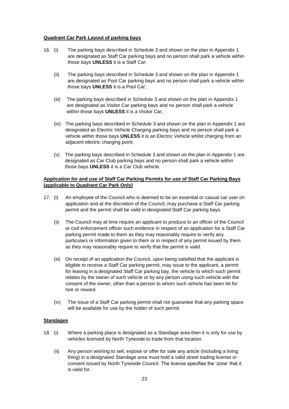#### **Quadrant Car Park Layout of parking bays**

- 16. (i) The parking bays described in Schedule 3 and shown on the plan in Appendix 1 are designated as Staff Car parking bays and no person shall park a vehicle within those bays **UNLESS** it is a Staff Car;
	- (ii) The parking bays described in Schedule 3 and shown on the plan in Appendix 1 are designated as Pool Car parking bays and no person shall park a vehicle within those bays **UNLESS** it is a Pool Car;
	- (iii) The parking bays described in Schedule 3 and shown on the plan in Appendix 1 are designated as Visitor Car parking bays and no person shall park a vehicle within those bays **UNLESS** it is a Visitor Car;
	- (iv) The parking bays described in Schedule 3 and shown on the plan in Appendix 1 are designated as Electric Vehicle Charging parking bays and no person shall park a vehicle within those bays **UNLESS** it is an Electric Vehicle whilst charging from an adiacent electric charging point:
	- (v) The parking bays described in Schedule 3 and shown on the plan in Appendix 1 are designated as Car Club parking bays and no person shall park a vehicle within those bays **UNLESS** it is a Car Club vehicle.

# **Application for and use of Staff Car Parking Permits for use of Staff Car Parking Bays (applicable to Quadrant Car Park Only)**

- 17. (i) An employee of the Council who is deemed to be an essential or casual car user on application and at the discretion of the Council, may purchase a Staff Car parking permit and the permit shall be valid in designated Staff Car parking bays.
	- (ii) The Council may at time require an applicant to produce to an officer of the Council or civil enforcement officer such evidence in respect of an application for a Staff Car parking permit made to them as they may reasonably require to verify any particulars or information given to them or in respect of any permit issued by them as they may reasonably require to verify that the permit is valid.
	- (iii) On receipt of an application the Council, upon being satisfied that the applicant is eligible to receive a Staff Car parking permit, may issue to the applicant, a permit for leaving in a designated Staff Car parking bay, the vehicle to which such permit relates by the owner of such vehicle or by any person using such vehicle with the consent of the owner, other than a person to whom such vehicle has been let for hire or reward.
	- (iv) The issue of a Staff Car parking permit shall not guarantee that any parking space will be available for use by the holder of such permit.

#### **Standages**

- 18. (i) Where a parking place is designated as a Standage area then it is only for use by vehicles licensed by North Tyneside to trade from that location.
	- (ii) Any person wishing to sell, expose or offer for sale any article (including a living thing) in a designated Standage area must hold a valid street trading license or consent issued by North Tyneside Council. The licence specifies the 'zone' that it is valid for.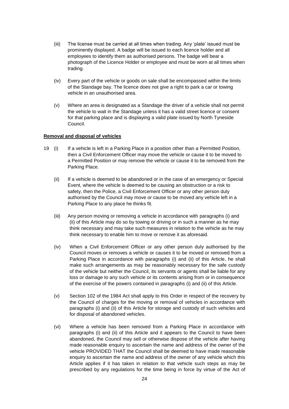- (iii) The license must be carried at all times when trading. Any 'plate' issued must be prominently displayed. A badge will be issued to each licence holder and all employees to identify them as authorised persons. The badge will bear a photograph of the Licence Holder or employee and must be worn at all times when trading.
- (iv) Every part of the vehicle or goods on sale shall be encompassed within the limits of the Standage bay. The licence does not give a right to park a car or towing vehicle in an unauthorised area.
- (v) Where an area is designated as a Standage the driver of a vehicle shall not permit the vehicle to wait in the Standage unless it has a valid street licence or consent for that parking place and is displaying a valid plate issued by North Tyneside Council.

#### **Removal and disposal of vehicles**

- 19 (i) If a vehicle is left in a Parking Place in a position other than a Permitted Position, then a Civil Enforcement Officer may move the vehicle or cause it to be moved to a Permitted Position or may remove the vehicle or cause it to be removed from the Parking Place.
	- (ii) If a vehicle is deemed to be abandoned or in the case of an emergency or Special Event, where the vehicle is deemed to be causing an obstruction or a risk to safety, then the Police, a Civil Enforcement Officer or any other person duly authorised by the Council may move or cause to be moved any vehicle left in a Parking Place to any place he thinks fit.
	- (iii) Any person moving or removing a vehicle in accordance with paragraphs (i) and (ii) of this Article may do so by towing or driving or in such a manner as he may think necessary and may take such measures in relation to the vehicle as he may think necessary to enable him to move or remove it as aforesaid.
	- (iv) When a Civil Enforcement Officer or any other person duly authorised by the Council moves or removes a vehicle or causes it to be moved or removed from a Parking Place in accordance with paragraphs (i) and (ii) of this Article, he shall make such arrangements as may be reasonably necessary for the safe custody of the vehicle but neither the Council, its servants or agents shall be liable for any loss or damage to any such vehicle or its contents arising from or in consequence of the exercise of the powers contained in paragraphs (i) and (ii) of this Article.
	- (v) Section 102 of the 1984 Act shall apply to this Order in respect of the recovery by the Council of charges for the moving or removal of vehicles in accordance with paragraphs (i) and (ii) of this Article for storage and custody of such vehicles and for disposal of abandoned vehicles.
	- (vi) Where a vehicle has been removed from a Parking Place in accordance with paragraphs (i) and (ii) of this Article and it appears to the Council to have been abandoned, the Council may sell or otherwise dispose of the vehicle after having made reasonable enquiry to ascertain the name and address of the owner of the vehicle PROVIDED THAT the Council shall be deemed to have made reasonable enquiry to ascertain the name and address of the owner of any vehicle which this Article applies if it has taken in relation to that vehicle such steps as may be prescribed by any regulations for the time being in force by virtue of the Act of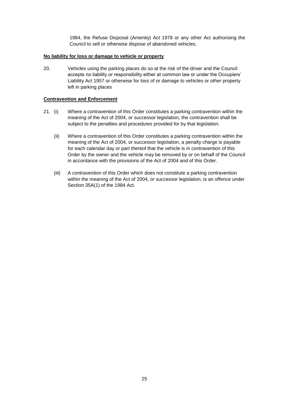1984, the Refuse Disposal (Amenity) Act 1978 or any other Act authorising the Council to sell or otherwise dispose of abandoned vehicles.

#### **No liability for loss or damage to vehicle or property**

20. Vehicles using the parking places do so at the risk of the driver and the Council accepts no liability or responsibility either at common law or under the Occupiers' Liability Act 1957 or otherwise for loss of or damage to vehicles or other property left in parking places

#### **Contravention and Enforcement**

- 21. (i) Where a contravention of this Order constitutes a parking contravention within the meaning of the Act of 2004, or successor legislation, the contravention shall be subject to the penalties and procedures provided for by that legislation.
	- (ii) Where a contravention of this Order constitutes a parking contravention within the meaning of the Act of 2004, or successor legislation, a penalty charge is payable for each calendar day or part thereof that the vehicle is in contravention of this Order by the owner and the vehicle may be removed by or on behalf of the Council in accordance with the provisions of the Act of 2004 and of this Order.
	- (iii) A contravention of this Order which does not constitute a parking contravention within the meaning of the Act of 2004, or successor legislation, is an offence under Section 35A(1) of the 1984 Act.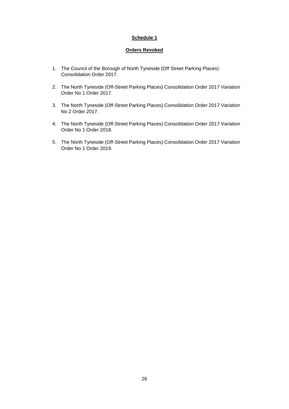## **Schedule 1**

#### **Orders Revoked**

- 1. The Council of the Borough of North Tyneside (Off Street Parking Places) Consolidation Order 2017.
- 2. The North Tyneside (Off-Street Parking Places) Consolidation Order 2017 Variation Order No 1 Order 2017.
- 3. The North Tyneside (Off-Street Parking Places) Consolidation Order 2017 Variation No 2 Order 2017.
- 4. The North Tyneside (Off-Street Parking Places) Consolidation Order 2017 Variation Order No 1 Order 2018.
- 5. The North Tyneside (Off-Street Parking Places) Consolidation Order 2017 Variation Order No 1 Order 2019.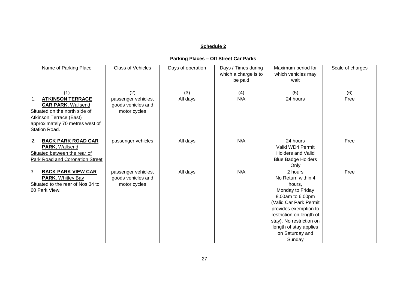# **Schedule 2**

# **Parking Places – Off Street Car Parks**

| Name of Parking Place                             | <b>Class of Vehicles</b> | Days of operation | Days / Times during<br>which a charge is to<br>be paid | Maximum period for<br>which vehicles may<br>wait | Scale of charges |
|---------------------------------------------------|--------------------------|-------------------|--------------------------------------------------------|--------------------------------------------------|------------------|
| (1)                                               | (2)                      | (3)               | (4)                                                    | (5)                                              | (6)              |
| <b>ATKINSON TERRACE</b><br>1.                     | passenger vehicles,      | All days          | N/A                                                    | 24 hours                                         | Free             |
| <b>CAR PARK, Wallsend</b>                         | goods vehicles and       |                   |                                                        |                                                  |                  |
| Situated on the north side of                     | motor cycles             |                   |                                                        |                                                  |                  |
| Atkinson Terrace (East)                           |                          |                   |                                                        |                                                  |                  |
| approximately 70 metres west of                   |                          |                   |                                                        |                                                  |                  |
| Station Road.                                     |                          |                   |                                                        |                                                  |                  |
|                                                   |                          |                   | N/A                                                    |                                                  | Free             |
| <b>BACK PARK ROAD CAR</b><br>2.<br>PARK, Wallsend | passenger vehicles       | All days          |                                                        | 24 hours<br>Valid WD4 Permit                     |                  |
| Situated between the rear of                      |                          |                   |                                                        | <b>Holders and Valid</b>                         |                  |
| <b>Park Road and Coronation Street</b>            |                          |                   |                                                        | <b>Blue Badge Holders</b>                        |                  |
|                                                   |                          |                   |                                                        | Only                                             |                  |
| 3.<br><b>BACK PARK VIEW CAR</b>                   | passenger vehicles,      | All days          | N/A                                                    | 2 hours                                          | Free             |
| <b>PARK, Whitley Bay</b>                          | goods vehicles and       |                   |                                                        | No Return within 4                               |                  |
| Situated to the rear of Nos 34 to                 | motor cycles             |                   |                                                        | hours,                                           |                  |
| 60 Park View.                                     |                          |                   |                                                        | Monday to Friday                                 |                  |
|                                                   |                          |                   |                                                        | 8.00am to 6.00pm                                 |                  |
|                                                   |                          |                   |                                                        | (Valid Car Park Permit                           |                  |
|                                                   |                          |                   |                                                        | provides exemption to                            |                  |
|                                                   |                          |                   |                                                        | restriction on length of                         |                  |
|                                                   |                          |                   |                                                        | stay). No restriction on                         |                  |
|                                                   |                          |                   |                                                        | length of stay applies                           |                  |
|                                                   |                          |                   |                                                        | on Saturday and                                  |                  |
|                                                   |                          |                   |                                                        | Sunday                                           |                  |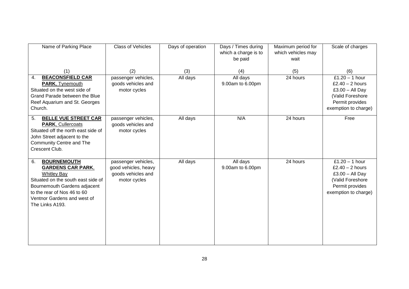| Name of Parking Place                                                                                                                                                                                                             | <b>Class of Vehicles</b>                                                          | Days of operation | Days / Times during<br>which a charge is to<br>be paid | Maximum period for<br>which vehicles may<br>wait | Scale of charges                                                                                                          |
|-----------------------------------------------------------------------------------------------------------------------------------------------------------------------------------------------------------------------------------|-----------------------------------------------------------------------------------|-------------------|--------------------------------------------------------|--------------------------------------------------|---------------------------------------------------------------------------------------------------------------------------|
| (1)                                                                                                                                                                                                                               | (2)                                                                               | (3)               | (4)                                                    | (5)                                              | (6)                                                                                                                       |
| <b>BEACONSFIELD CAR</b><br>4.<br>PARK, Tynemouth<br>Situated on the west side of<br>Grand Parade between the Blue<br>Reef Aquarium and St. Georges<br>Church.                                                                     | passenger vehicles,<br>goods vehicles and<br>motor cycles                         | All days          | All days<br>9.00am to 6.00pm                           | $\overline{24}$ hours                            | £1.20 $-$ 1 hour<br>£2.40 $-$ 2 hours<br>$£3.00 - All Day$<br>(Valid Foreshore<br>Permit provides<br>exemption to charge) |
| <b>BELLE VUE STREET CAR</b><br>5.<br>PARK, Cullercoats<br>Situated off the north east side of<br>John Street adjacent to the<br>Community Centre and The<br>Crescent Club.                                                        | passenger vehicles,<br>goods vehicles and<br>motor cycles                         | All days          | N/A                                                    | $\overline{24}$ hours                            | Free                                                                                                                      |
| <b>BOURNEMOUTH</b><br>6.<br><b>GARDENS CAR PARK,</b><br><b>Whitley Bay</b><br>Situated on the south east side of<br>Bournemouth Gardens adjacent<br>to the rear of Nos 46 to 60<br>Ventnor Gardens and west of<br>The Links A193. | passenger vehicles,<br>good vehicles, heavy<br>goods vehicles and<br>motor cycles | All days          | All days<br>9.00am to 6.00pm                           | 24 hours                                         | £1.20 $-$ 1 hour<br>£2.40 $-$ 2 hours<br>$£3.00 - All Day$<br>(Valid Foreshore<br>Permit provides<br>exemption to charge) |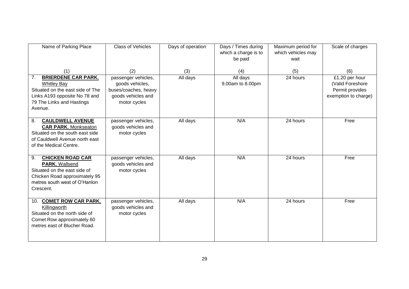| Name of Parking Place                                                                                                                                               | <b>Class of Vehicles</b>                                                                             | Days of operation | Days / Times during<br>which a charge is to<br>be paid | Maximum period for<br>which vehicles may<br>wait | Scale of charges                                                              |
|---------------------------------------------------------------------------------------------------------------------------------------------------------------------|------------------------------------------------------------------------------------------------------|-------------------|--------------------------------------------------------|--------------------------------------------------|-------------------------------------------------------------------------------|
| (1)                                                                                                                                                                 | (2)                                                                                                  | (3)               | (4)                                                    | (5)                                              | (6)                                                                           |
| <b>BRIERDENE CAR PARK,</b><br>7.<br><b>Whitley Bay</b><br>Situated on the east side of The<br>Links A193 opposite No 78 and<br>79 The Links and Hastings<br>Avenue. | passenger vehicles,<br>goods vehicles,<br>buses/coaches, heavy<br>goods vehicles and<br>motor cycles | All days          | All days<br>9.00am to 8.00pm                           | 24 hours                                         | £1.20 per hour<br>(Valid Foreshore<br>Permit provides<br>exemption to charge) |
| <b>CAULDWELL AVENUE</b><br>8.<br><b>CAR PARK, Monkseaton</b><br>Situated on the south east side<br>of Cauldwell Avenue north east<br>of the Medical Centre.         | passenger vehicles,<br>goods vehicles and<br>motor cycles                                            | All days          | N/A                                                    | 24 hours                                         | Free                                                                          |
| <b>CHICKEN ROAD CAR</b><br>9.<br>PARK, Wallsend<br>Situated on the east side of<br>Chicken Road approximately 95<br>metres south west of O'Hanlon<br>Crescent.      | passenger vehicles,<br>goods vehicles and<br>motor cycles                                            | All days          | N/A                                                    | 24 hours                                         | Free                                                                          |
| <b>COMET ROW CAR PARK.</b><br>10.<br>Killingworth<br>Situated on the north side of<br>Comet Row approximately 60<br>metres east of Blucher Road.                    | passenger vehicles,<br>goods vehicles and<br>motor cycles                                            | All days          | N/A                                                    | 24 hours                                         | Free                                                                          |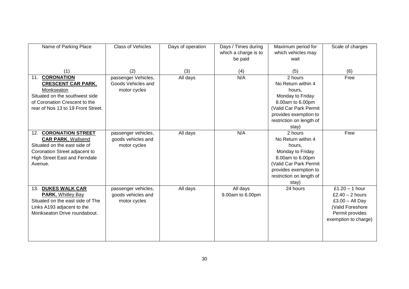| Name of Parking Place                                 | <b>Class of Vehicles</b>                  | Days of operation | Days / Times during<br>which a charge is to | Maximum period for<br>which vehicles may | Scale of charges     |
|-------------------------------------------------------|-------------------------------------------|-------------------|---------------------------------------------|------------------------------------------|----------------------|
|                                                       |                                           |                   | be paid                                     | wait                                     |                      |
| (1)                                                   | (2)                                       | (3)               | (4)                                         | (5)                                      | (6)                  |
| <b>CORONATION</b><br>11.<br><b>CRESCENT CAR PARK,</b> | passenger Vehicles,<br>Goods Vehicles and | All days          | N/A                                         | 2 hours<br>No Return within 4            | Free                 |
| Monkseaton                                            | motor cycles                              |                   |                                             | hours,                                   |                      |
| Situated on the southwest side                        |                                           |                   |                                             | Monday to Friday                         |                      |
| of Coronation Crescent to the                         |                                           |                   |                                             | 8.00am to 6.00pm                         |                      |
| rear of Nos 13 to 19 Front Street.                    |                                           |                   |                                             | (Valid Car Park Permit                   |                      |
|                                                       |                                           |                   |                                             | provides exemption to                    |                      |
|                                                       |                                           |                   |                                             | restriction on length of                 |                      |
|                                                       |                                           |                   |                                             | stay)                                    |                      |
| <b>CORONATION STREET</b><br>12.                       | passenger vehicles,                       | All days          | N/A                                         | 2 hours                                  | Free                 |
| <b>CAR PARK, Wallsend</b>                             | goods vehicles and                        |                   |                                             | No Return within 4                       |                      |
| Situated on the east side of                          | motor cycles                              |                   |                                             | hours,                                   |                      |
| Coronation Street adjacent to                         |                                           |                   |                                             | Monday to Friday                         |                      |
| <b>High Street East and Ferndale</b>                  |                                           |                   |                                             | 8.00am to 6.00pm                         |                      |
| Avenue.                                               |                                           |                   |                                             | (Valid Car Park Permit                   |                      |
|                                                       |                                           |                   |                                             | provides exemption to                    |                      |
|                                                       |                                           |                   |                                             | restriction on length of                 |                      |
|                                                       |                                           |                   |                                             | stay)                                    |                      |
| 13. DUKES WALK CAR                                    | passenger vehicles,                       | All days          | All days                                    | 24 hours                                 | £1.20 $-$ 1 hour     |
| PARK, Whitley Bay                                     | goods vehicles and                        |                   | 9.00am to 6.00pm                            |                                          | £2.40 $-$ 2 hours    |
| Situated on the east side of The                      | motor cycles                              |                   |                                             |                                          | $£3.00 - All Day$    |
| Links A193 adjacent to the                            |                                           |                   |                                             |                                          | (Valid Foreshore     |
| Monkseaton Drive roundabout.                          |                                           |                   |                                             |                                          | Permit provides      |
|                                                       |                                           |                   |                                             |                                          | exemption to charge) |
|                                                       |                                           |                   |                                             |                                          |                      |
|                                                       |                                           |                   |                                             |                                          |                      |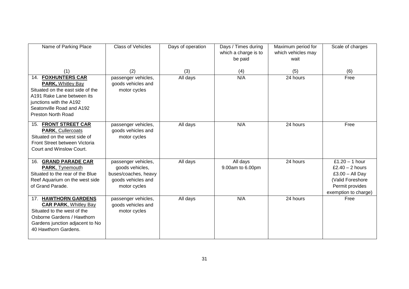| Name of Parking Place                                                                                                                                                                                 | <b>Class of Vehicles</b>                                                                             | Days of operation | Days / Times during<br>which a charge is to<br>be paid | Maximum period for<br>which vehicles may<br>wait | Scale of charges                                                                                                          |
|-------------------------------------------------------------------------------------------------------------------------------------------------------------------------------------------------------|------------------------------------------------------------------------------------------------------|-------------------|--------------------------------------------------------|--------------------------------------------------|---------------------------------------------------------------------------------------------------------------------------|
| (1)                                                                                                                                                                                                   | (2)                                                                                                  | (3)               | (4)                                                    | (5)                                              | (6)                                                                                                                       |
| 14. FOXHUNTERS CAR<br><b>PARK, Whitley Bay</b><br>Situated on the east side of the<br>A191 Rake Lane between its<br>junctions with the A192<br>Seatonville Road and A192<br><b>Preston North Road</b> | passenger vehicles,<br>goods vehicles and<br>motor cycles                                            | All days          | N/A                                                    | 24 hours                                         | Free                                                                                                                      |
| <b>FRONT STREET CAR</b><br>15.<br>PARK, Cullercoats<br>Situated on the west side of<br>Front Street between Victoria<br>Court and Winslow Court.                                                      | passenger vehicles,<br>goods vehicles and<br>motor cycles                                            | All days          | N/A                                                    | 24 hours                                         | Free                                                                                                                      |
| <b>GRAND PARADE CAR</b><br>16.<br>PARK, Tynemouth<br>Situated to the rear of the Blue<br>Reef Aquarium on the west side<br>of Grand Parade.                                                           | passenger vehicles,<br>goods vehicles,<br>buses/coaches, heavy<br>goods vehicles and<br>motor cycles | All days          | All days<br>9.00am to 6.00pm                           | 24 hours                                         | £1.20 $-$ 1 hour<br>£2.40 $-$ 2 hours<br>$£3.00 - All Day$<br>(Valid Foreshore<br>Permit provides<br>exemption to charge) |
| 17. HAWTHORN GARDENS<br><b>CAR PARK, Whitley Bay</b><br>Situated to the west of the<br>Osborne Gardens / Hawthorn<br>Gardens junction adjacent to No<br>40 Hawthorn Gardens.                          | passenger vehicles,<br>goods vehicles and<br>motor cycles                                            | All days          | N/A                                                    | 24 hours                                         | Free                                                                                                                      |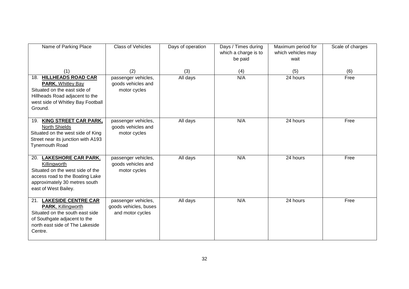| Name of Parking Place                                                                                                                                                          | <b>Class of Vehicles</b>                                         | Days of operation | Days / Times during<br>which a charge is to<br>be paid | Maximum period for<br>which vehicles may<br>wait | Scale of charges |
|--------------------------------------------------------------------------------------------------------------------------------------------------------------------------------|------------------------------------------------------------------|-------------------|--------------------------------------------------------|--------------------------------------------------|------------------|
| (1)                                                                                                                                                                            | (2)                                                              | (3)               | (4)                                                    | (5)                                              | (6)              |
| <b>HILLHEADS ROAD CAR</b><br>18.<br><b>PARK, Whitley Bay</b><br>Situated on the east side of<br>Hillheads Road adjacent to the<br>west side of Whitley Bay Football<br>Ground. | passenger vehicles,<br>goods vehicles and<br>motor cycles        | All days          | N/A                                                    | 24 hours                                         | Free             |
| <b>KING STREET CAR PARK,</b><br>19.<br>North Shields<br>Situated on the west side of King<br>Street near its junction with A193<br><b>Tynemouth Road</b>                       | passenger vehicles,<br>goods vehicles and<br>motor cycles        | All days          | N/A                                                    | 24 hours                                         | Free             |
| 20. LAKESHORE CAR PARK,<br>Killingworth<br>Situated on the west side of the<br>access road to the Boating Lake<br>approximately 30 metres south<br>east of West Bailey.        | passenger vehicles,<br>goods vehicles and<br>motor cycles        | All days          | N/A                                                    | 24 hours                                         | Free             |
| 21. LAKESIDE CENTRE CAR<br>PARK, Killingworth<br>Situated on the south east side<br>of Southgate adjacent to the<br>north east side of The Lakeside<br>Centre.                 | passenger vehicles,<br>goods vehicles, buses<br>and motor cycles | All days          | N/A                                                    | 24 hours                                         | Free             |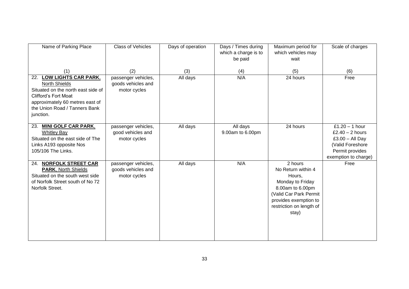| Name of Parking Place                                                                                                                                                                                     | <b>Class of Vehicles</b>                                  | Days of operation | Days / Times during<br>which a charge is to<br>be paid | Maximum period for<br>which vehicles may<br>wait                                                                                                                        | Scale of charges                                                                                                          |
|-----------------------------------------------------------------------------------------------------------------------------------------------------------------------------------------------------------|-----------------------------------------------------------|-------------------|--------------------------------------------------------|-------------------------------------------------------------------------------------------------------------------------------------------------------------------------|---------------------------------------------------------------------------------------------------------------------------|
| (1)                                                                                                                                                                                                       | (2)                                                       | (3)               | (4)                                                    | (5)                                                                                                                                                                     | (6)                                                                                                                       |
| LOW LIGHTS CAR PARK,<br>22.<br><b>North Shields</b><br>Situated on the north east side of<br><b>Clifford's Fort Moat</b><br>approximately 60 metres east of<br>the Union Road / Tanners Bank<br>junction. | passenger vehicles,<br>goods vehicles and<br>motor cycles | All days          | N/A                                                    | 24 hours                                                                                                                                                                | Free                                                                                                                      |
| <b>MINI GOLF CAR PARK,</b><br>23.<br><b>Whitley Bay</b><br>Situated on the east side of The<br>Links A193 opposite Nos<br>105/106 The Links.                                                              | passenger vehicles,<br>good vehicles and<br>motor cycles  | All days          | All days<br>9.00am to 6.00pm                           | 24 hours                                                                                                                                                                | £1.20 $-$ 1 hour<br>£2.40 $-$ 2 hours<br>$£3.00 - All Day$<br>(Valid Foreshore<br>Permit provides<br>exemption to charge) |
| <b>NORFOLK STREET CAR</b><br>24.<br><b>PARK, North Shields</b><br>Situated on the south west side<br>of Norfolk Street south of No 72<br>Norfolk Street.                                                  | passenger vehicles,<br>goods vehicles and<br>motor cycles | All days          | N/A                                                    | 2 hours<br>No Return within 4<br>Hours,<br>Monday to Friday<br>8.00am to 6.00pm<br>(Valid Car Park Permit<br>provides exemption to<br>restriction on length of<br>stay) | Free                                                                                                                      |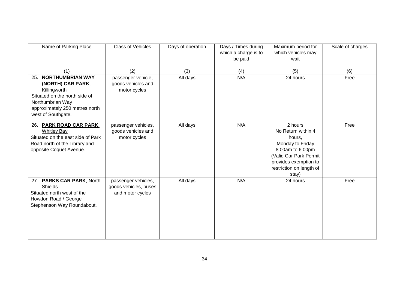| Name of Parking Place                                                                                                                                                                   | <b>Class of Vehicles</b>                                         | Days of operation | Days / Times during<br>which a charge is to<br>be paid | Maximum period for<br>which vehicles may<br>wait                                                                                                                        | Scale of charges |
|-----------------------------------------------------------------------------------------------------------------------------------------------------------------------------------------|------------------------------------------------------------------|-------------------|--------------------------------------------------------|-------------------------------------------------------------------------------------------------------------------------------------------------------------------------|------------------|
| (1)                                                                                                                                                                                     | (2)                                                              | (3)               | (4)                                                    | (5)                                                                                                                                                                     | (6)              |
| <b>NORTHUMBRIAN WAY</b><br>25.<br>(NORTH) CAR PARK,<br><b>Killingworth</b><br>Situated on the north side of<br>Northumbrian Way<br>approximately 250 metres north<br>west of Southgate. | passenger vehicle,<br>goods vehicles and<br>motor cycles         | All days          | N/A                                                    | 24 hours                                                                                                                                                                | Free             |
| <u>PARK ROAD CAR PARK.</u><br>26.<br><b>Whitley Bay</b><br>Situated on the east side of Park<br>Road north of the Library and<br>opposite Coquet Avenue.                                | passenger vehicles,<br>goods vehicles and<br>motor cycles        | All days          | N/A                                                    | 2 hours<br>No Return within 4<br>hours,<br>Monday to Friday<br>8.00am to 6.00pm<br>(Valid Car Park Permit<br>provides exemption to<br>restriction on length of<br>stay) | Free             |
| <b>PARKS CAR PARK, North</b><br>27.<br>Shields<br>Situated north west of the<br>Howdon Road / George<br>Stephenson Way Roundabout.                                                      | passenger vehicles,<br>goods vehicles, buses<br>and motor cycles | All days          | N/A                                                    | 24 hours                                                                                                                                                                | Free             |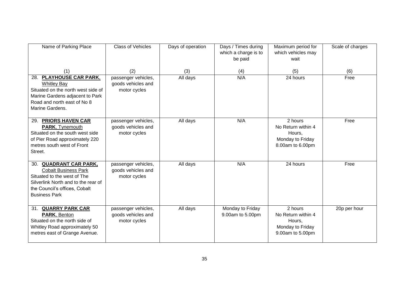| Name of Parking Place                                                                                                                                                                | <b>Class of Vehicles</b>                                  | Days of operation | Days / Times during<br>which a charge is to<br>be paid | Maximum period for<br>which vehicles may<br>wait                                             | Scale of charges |
|--------------------------------------------------------------------------------------------------------------------------------------------------------------------------------------|-----------------------------------------------------------|-------------------|--------------------------------------------------------|----------------------------------------------------------------------------------------------|------------------|
| (1)                                                                                                                                                                                  | (2)                                                       | (3)               | (4)                                                    | (5)                                                                                          | (6)              |
| <b>PLAYHOUSE CAR PARK,</b><br>28.<br><b>Whitley Bay</b><br>Situated on the north west side of<br>Marine Gardens adjacent to Park<br>Road and north east of No 8<br>Marine Gardens.   | passenger vehicles,<br>goods vehicles and<br>motor cycles | All days          | N/A                                                    | 24 hours                                                                                     | Free             |
| <b>PRIORS HAVEN CAR</b><br>29.<br><b>PARK, Tynemouth</b><br>Situated on the south west side<br>of Pier Road approximately 220<br>metres south west of Front<br>Street.               | passenger vehicles,<br>goods vehicles and<br>motor cycles | All days          | N/A                                                    | 2 hours<br>No Return within 4<br>Hours,<br>Monday to Friday<br>8.00am to 6.00pm              | Free             |
| 30. QUADRANT CAR PARK,<br><b>Cobalt Business Park</b><br>Situated to the west of The<br>Silverlink North and to the rear of<br>the Council's offices, Cobalt<br><b>Business Park</b> | passenger vehicles,<br>goods vehicles and<br>motor cycles | All days          | N/A                                                    | 24 hours                                                                                     | Free             |
| 31. QUARRY PARK CAR<br>PARK, Benton<br>Situated on the north side of<br>Whitley Road approximately 50<br>metres east of Grange Avenue.                                               | passenger vehicles,<br>goods vehicles and<br>motor cycles | All days          | Monday to Friday<br>9.00am to 5.00pm                   | $\overline{2}$ hours<br>No Return within 4<br>Hours,<br>Monday to Friday<br>9.00am to 5.00pm | 20p per hour     |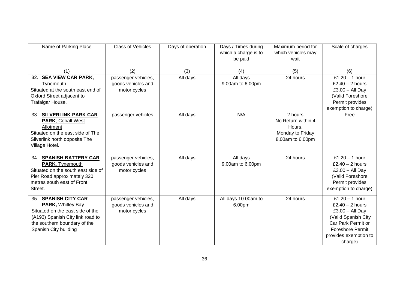| Name of Parking Place                                                                                                                                                             | <b>Class of Vehicles</b>                                  | Days of operation | Days / Times during<br>which a charge is to<br>be paid | Maximum period for<br>which vehicles may<br>wait                                | Scale of charges                                                                                                                                                |
|-----------------------------------------------------------------------------------------------------------------------------------------------------------------------------------|-----------------------------------------------------------|-------------------|--------------------------------------------------------|---------------------------------------------------------------------------------|-----------------------------------------------------------------------------------------------------------------------------------------------------------------|
| (1)                                                                                                                                                                               | (2)                                                       | (3)               | (4)                                                    | (5)                                                                             | (6)                                                                                                                                                             |
| 32. SEA VIEW CAR PARK,<br>Tynemouth<br>Situated at the south east end of<br>Oxford Street adjacent to<br>Trafalgar House.                                                         | passenger vehicles,<br>goods vehicles and<br>motor cycles | All days          | All days<br>9.00am to 6.00pm                           | 24 hours                                                                        | £1.20 $-$ 1 hour<br>£2.40 $-$ 2 hours<br>$£3.00 - All Day$<br>(Valid Foreshore<br>Permit provides<br>exemption to charge)                                       |
| <b>SILVERLINK PARK CAR</b><br>33.<br><b>PARK, Cobalt West</b><br>Allotment<br>Situated on the east side of The<br>Silverlink north opposite The<br>Village Hotel.                 | passenger vehicles                                        | All days          | N/A                                                    | 2 hours<br>No Return within 4<br>Hours,<br>Monday to Friday<br>8.00am to 6.00pm | Free                                                                                                                                                            |
| 34. SPANISH BATTERY CAR<br>PARK, Tynemouth<br>Situated on the south east side of<br>Pier Road approximately 320<br>metres south east of Front<br>Street.                          | passenger vehicles,<br>goods vehicles and<br>motor cycles | All days          | All days<br>9.00am to 6.00pm                           | 24 hours                                                                        | £1.20 $-$ 1 hour<br>£2.40 $-$ 2 hours<br>$£3.00 - All Day$<br>(Valid Foreshore<br>Permit provides<br>exemption to charge)                                       |
| 35. SPANISH CITY CAR<br><b>PARK, Whitley Bay</b><br>Situated on the east side of the<br>(A193) Spanish City link road to<br>the southern boundary of the<br>Spanish City building | passenger vehicles,<br>goods vehicles and<br>motor cycles | All days          | All days 10.00am to<br>6.00pm                          | 24 hours                                                                        | £1.20 $-$ 1 hour<br>£2.40 $-$ 2 hours<br>$£3.00 - All Day$<br>(Valid Spanish City<br>Car Park Permit or<br>Foreshore Permit<br>provides exemption to<br>charge) |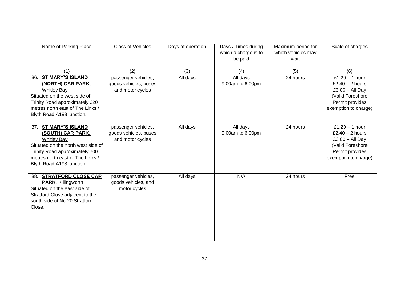| Name of Parking Place                                                                                                                                                                                        | <b>Class of Vehicles</b>                                         | Days of operation | Days / Times during<br>which a charge is to<br>be paid | Maximum period for<br>which vehicles may<br>wait | Scale of charges                                                                                                          |
|--------------------------------------------------------------------------------------------------------------------------------------------------------------------------------------------------------------|------------------------------------------------------------------|-------------------|--------------------------------------------------------|--------------------------------------------------|---------------------------------------------------------------------------------------------------------------------------|
| (1)                                                                                                                                                                                                          | (2)                                                              | (3)               | (4)                                                    | (5)                                              | (6)                                                                                                                       |
| <b>ST MARY'S ISLAND</b><br>36.<br>(NORTH) CAR PARK,<br><b>Whitley Bay</b><br>Situated on the west side of<br>Trinity Road approximately 320<br>metres north east of The Links /<br>Blyth Road A193 junction. | passenger vehicles,<br>goods vehicles, buses<br>and motor cycles | All days          | All days<br>9.00am to 6.00pm                           | 24 hours                                         | £1.20 $-$ 1 hour<br>£2.40 $-$ 2 hours<br>$£3.00 - All Day$<br>(Valid Foreshore<br>Permit provides<br>exemption to charge) |
| 37. ST MARY'S ISLAND<br>(SOUTH) CAR PARK.<br><b>Whitley Bay</b><br>Situated on the north west side of<br>Trinity Road approximately 700<br>metres north east of The Links /<br>Blyth Road A193 junction.     | passenger vehicles,<br>goods vehicles, buses<br>and motor cycles | All days          | All days<br>9.00am to 6.00pm                           | 24 hours                                         | $£1.20 - 1 hour$<br>£2.40 $-$ 2 hours<br>$£3.00 - All Day$<br>(Valid Foreshore<br>Permit provides<br>exemption to charge) |
| 38. STRATFORD CLOSE CAR<br><b>PARK, Killingworth</b><br>Situated on the east side of<br>Stratford Close adjacent to the<br>south side of No 20 Stratford<br>Close.                                           | passenger vehicles,<br>goods vehicles, and<br>motor cycles       | All days          | N/A                                                    | 24 hours                                         | Free                                                                                                                      |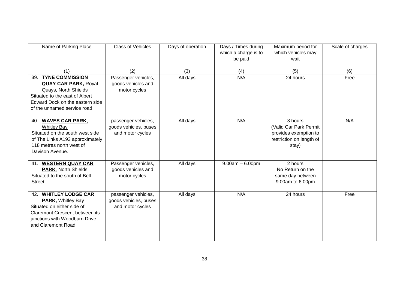| Name of Parking Place                                                                                                                                                                    | <b>Class of Vehicles</b>                                         | Days of operation | Days / Times during<br>which a charge is to<br>be paid | Maximum period for<br>which vehicles may<br>wait                                                | Scale of charges |
|------------------------------------------------------------------------------------------------------------------------------------------------------------------------------------------|------------------------------------------------------------------|-------------------|--------------------------------------------------------|-------------------------------------------------------------------------------------------------|------------------|
| (1)                                                                                                                                                                                      | (2)                                                              | (3)               | (4)                                                    | (5)                                                                                             | (6)              |
| <b>TYNE COMMISSION</b><br>39.<br><b>QUAY CAR PARK, Royal</b><br>Quays, North Shields<br>Situated to the east of Albert<br>Edward Dock on the eastern side<br>of the unnamed service road | Passenger vehicles,<br>goods vehicles and<br>motor cycles        | All days          | N/A                                                    | 24 hours                                                                                        | Free             |
| 40. WAVES CAR PARK,<br><b>Whitley Bay</b><br>Situated on the south west side<br>of The Links A193 approximately<br>118 metres north west of<br>Davison Avenue.                           | passenger vehicles,<br>goods vehicles, buses<br>and motor cycles | All days          | N/A                                                    | 3 hours<br>(Valid Car Park Permit<br>provides exemption to<br>restriction on length of<br>stay) | N/A              |
| <b>41. WESTERN QUAY CAR</b><br><b>PARK, North Shields</b><br>Situated to the south of Bell<br><b>Street</b>                                                                              | Passenger vehicles,<br>goods vehicles and<br>motor cycles        | All days          | $9.00am - 6.00pm$                                      | 2 hours<br>No Return on the<br>same day between<br>9.00am to 6.00pm                             |                  |
| 42. WHITLEY LODGE CAR<br><b>PARK, Whitley Bay</b><br>Situated on either side of<br><b>Claremont Crescent between its</b><br>junctions with Woodburn Drive<br>and Claremont Road          | passenger vehicles,<br>goods vehicles, buses<br>and motor cycles | All days          | N/A                                                    | 24 hours                                                                                        | Free             |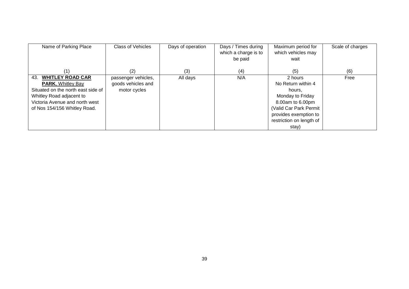| Name of Parking Place              | <b>Class of Vehicles</b> | Days of operation | Days / Times during<br>which a charge is to<br>be paid | Maximum period for<br>which vehicles may<br>wait | Scale of charges |
|------------------------------------|--------------------------|-------------------|--------------------------------------------------------|--------------------------------------------------|------------------|
|                                    |                          |                   |                                                        |                                                  |                  |
| (1)                                | (2)                      | (3)               | (4)                                                    | (5)                                              | (6)              |
| <b>WHITLEY ROAD CAR</b><br>43.     | passenger vehicles,      | All days          | N/A                                                    | 2 hours                                          | Free             |
| <b>PARK, Whitley Bay</b>           | goods vehicles and       |                   |                                                        | No Return within 4                               |                  |
| Situated on the north east side of | motor cycles             |                   |                                                        | hours,                                           |                  |
| Whitley Road adjacent to           |                          |                   |                                                        | Monday to Friday                                 |                  |
| Victoria Avenue and north west     |                          |                   |                                                        | 8.00am to 6.00pm                                 |                  |
| of Nos 154/156 Whitley Road.       |                          |                   |                                                        | (Valid Car Park Permit                           |                  |
|                                    |                          |                   |                                                        | provides exemption to                            |                  |
|                                    |                          |                   |                                                        | restriction on length of                         |                  |
|                                    |                          |                   |                                                        | stay)                                            |                  |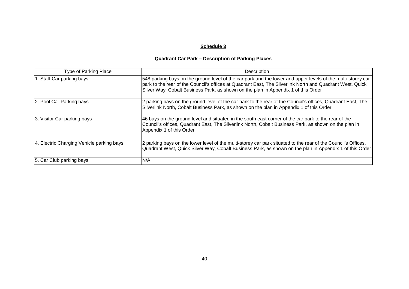# **Schedule 3**

# **Quadrant Car Park – Description of Parking Places**

| Type of Parking Place                     | Description                                                                                                                                                                                                                                                                                                    |
|-------------------------------------------|----------------------------------------------------------------------------------------------------------------------------------------------------------------------------------------------------------------------------------------------------------------------------------------------------------------|
| 1. Staff Car parking bays                 | 548 parking bays on the ground level of the car park and the lower and upper levels of the multi-storey car<br>park to the rear of the Council's offices at Quadrant East, The Silverlink North and Quadrant West, Quick<br>Silver Way, Cobalt Business Park, as shown on the plan in Appendix 1 of this Order |
| 2. Pool Car Parking bays                  | 2 parking bays on the ground level of the car park to the rear of the Council's offices, Quadrant East, The<br>Silverlink North, Cobalt Business Park, as shown on the plan in Appendix 1 of this Order                                                                                                        |
| 3. Visitor Car parking bays               | 46 bays on the ground level and situated in the south east corner of the car park to the rear of the<br>Council's offices, Quadrant East, The Silverlink North, Cobalt Business Park, as shown on the plan in<br>Appendix 1 of this Order                                                                      |
| 4. Electric Charging Vehicle parking bays | 2 parking bays on the lower level of the multi-storey car park situated to the rear of the Council's Offices,<br>Quadrant West, Quick Silver Way, Cobalt Business Park, as shown on the plan in Appendix 1 of this Order                                                                                       |
| 5. Car Club parking bays                  | N/A                                                                                                                                                                                                                                                                                                            |